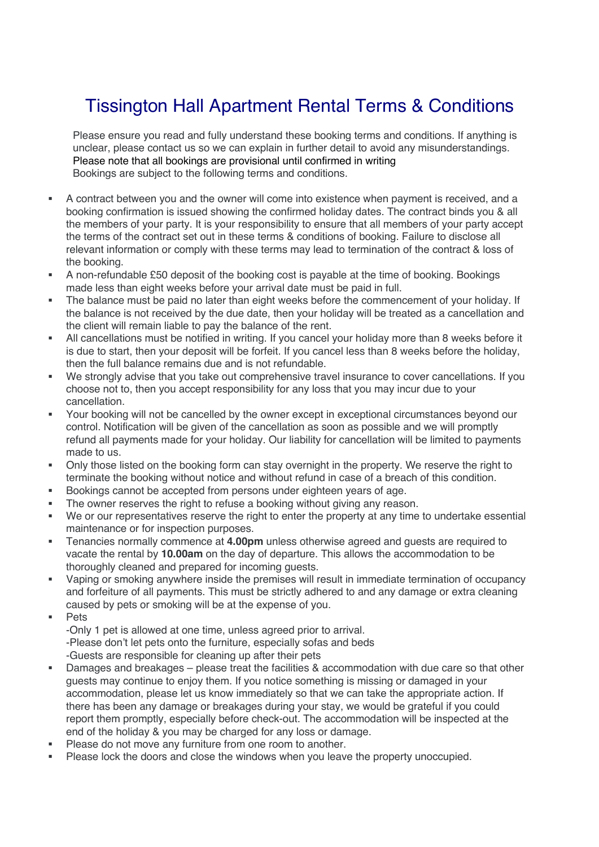## Tissington Hall Apartment Rental Terms & Conditions

Please ensure you read and fully understand these booking terms and conditions. If anything is unclear, please contact us so we can explain in further detail to avoid any misunderstandings. Please note that all bookings are provisional until confirmed in writing Bookings are subject to the following terms and conditions.

- § A contract between you and the owner will come into existence when payment is received, and a booking confirmation is issued showing the confirmed holiday dates. The contract binds you & all the members of your party. It is your responsibility to ensure that all members of your party accept the terms of the contract set out in these terms & conditions of booking. Failure to disclose all relevant information or comply with these terms may lead to termination of the contract & loss of the booking.
- § A non-refundable £50 deposit of the booking cost is payable at the time of booking. Bookings made less than eight weeks before your arrival date must be paid in full.
- The balance must be paid no later than eight weeks before the commencement of your holiday. If the balance is not received by the due date, then your holiday will be treated as a cancellation and the client will remain liable to pay the balance of the rent.
- § All cancellations must be notified in writing. If you cancel your holiday more than 8 weeks before it is due to start, then your deposit will be forfeit. If you cancel less than 8 weeks before the holiday, then the full balance remains due and is not refundable.
- We strongly advise that you take out comprehensive travel insurance to cover cancellations. If you choose not to, then you accept responsibility for any loss that you may incur due to your cancellation.
- § Your booking will not be cancelled by the owner except in exceptional circumstances beyond our control. Notification will be given of the cancellation as soon as possible and we will promptly refund all payments made for your holiday. Our liability for cancellation will be limited to payments made to us.
- Only those listed on the booking form can stay overnight in the property. We reserve the right to terminate the booking without notice and without refund in case of a breach of this condition.
- § Bookings cannot be accepted from persons under eighteen years of age.
- The owner reserves the right to refuse a booking without giving any reason.
- § We or our representatives reserve the right to enter the property at any time to undertake essential maintenance or for inspection purposes.
- § Tenancies normally commence at **4.00pm** unless otherwise agreed and guests are required to vacate the rental by **10.00am** on the day of departure. This allows the accommodation to be thoroughly cleaned and prepared for incoming guests.
- § Vaping or smoking anywhere inside the premises will result in immediate termination of occupancy and forfeiture of all payments. This must be strictly adhered to and any damage or extra cleaning caused by pets or smoking will be at the expense of you.
- § Pets

-Only 1 pet is allowed at one time, unless agreed prior to arrival. -Please don't let pets onto the furniture, especially sofas and beds -Guests are responsible for cleaning up after their pets

- Damages and breakages please treat the facilities & accommodation with due care so that other guests may continue to enjoy them. If you notice something is missing or damaged in your accommodation, please let us know immediately so that we can take the appropriate action. If there has been any damage or breakages during your stay, we would be grateful if you could report them promptly, especially before check-out. The accommodation will be inspected at the end of the holiday & you may be charged for any loss or damage.
- Please do not move any furniture from one room to another.
- § Please lock the doors and close the windows when you leave the property unoccupied.